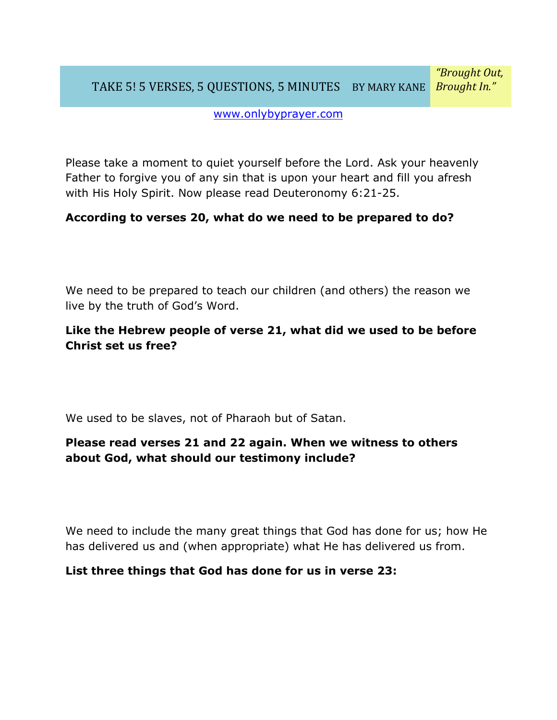#### TAKE 5! 5 VERSES, 5 QUESTIONS, 5 MINUTES BY MARY KANE *Brought In." "Brought)Out,)*

#### www.onlybyprayer.com

Please take a moment to quiet yourself before the Lord. Ask your heavenly Father to forgive you of any sin that is upon your heart and fill you afresh with His Holy Spirit. Now please read Deuteronomy 6:21-25.

### **According to verses 20, what do we need to be prepared to do?**

We need to be prepared to teach our children (and others) the reason we live by the truth of God's Word.

## **Like the Hebrew people of verse 21, what did we used to be before Christ set us free?**

We used to be slaves, not of Pharaoh but of Satan.

# **Please read verses 21 and 22 again. When we witness to others about God, what should our testimony include?**

We need to include the many great things that God has done for us; how He has delivered us and (when appropriate) what He has delivered us from.

#### **List three things that God has done for us in verse 23:**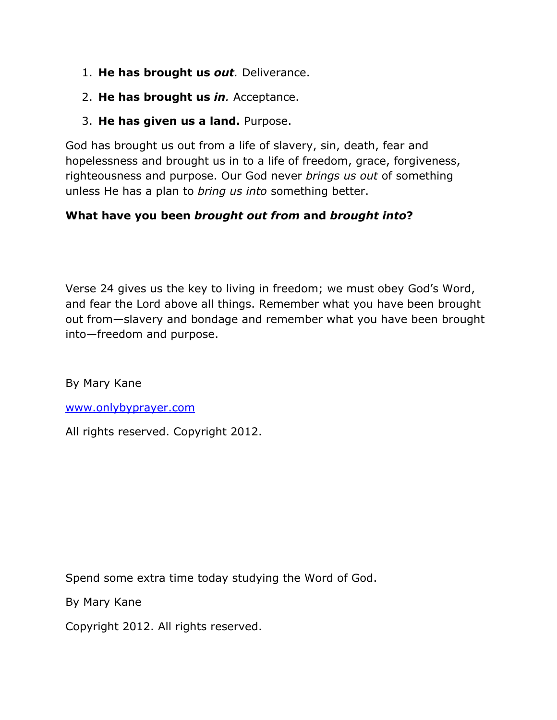- 1. **He has brought us** *out.* Deliverance.
- 2. **He has brought us** *in.* Acceptance.
- 3. **He has given us a land.** Purpose.

God has brought us out from a life of slavery, sin, death, fear and hopelessness and brought us in to a life of freedom, grace, forgiveness, righteousness and purpose. Our God never *brings us out* of something unless He has a plan to *bring us into* something better.

### **What have you been** *brought out from* **and** *brought into***?**

Verse 24 gives us the key to living in freedom; we must obey God's Word, and fear the Lord above all things. Remember what you have been brought out from—slavery and bondage and remember what you have been brought into—freedom and purpose.

By Mary Kane

www.onlybyprayer.com

All rights reserved. Copyright 2012.

Spend some extra time today studying the Word of God.

By Mary Kane

Copyright 2012. All rights reserved.